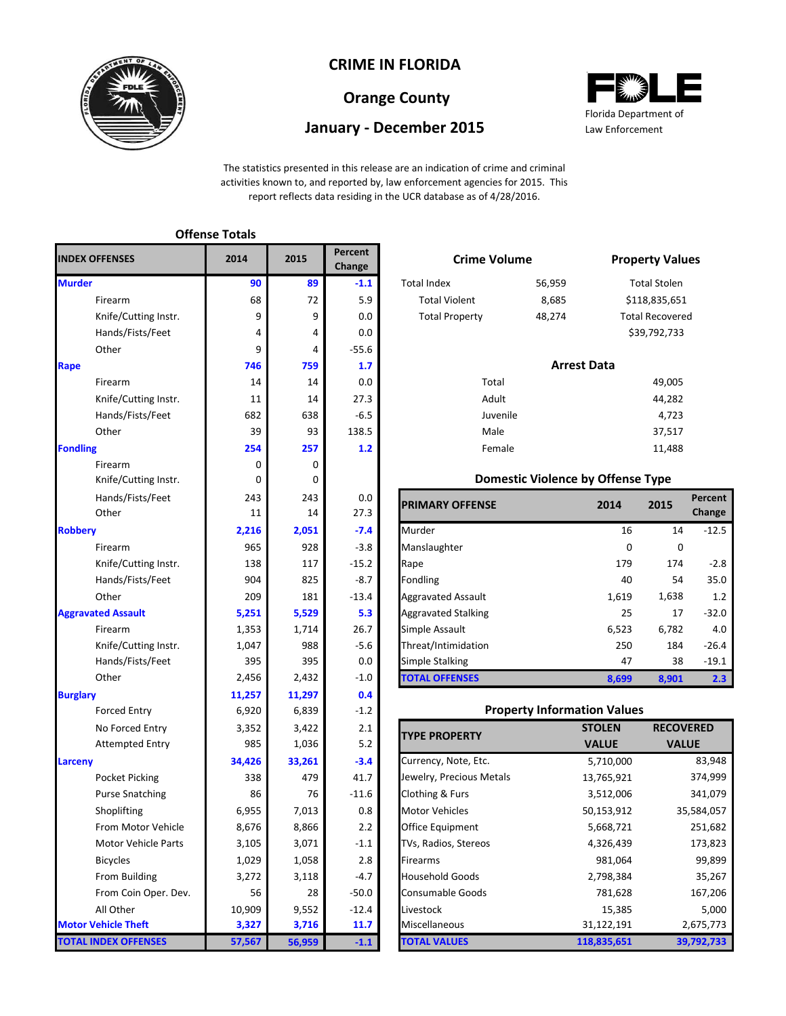

## **CRIME IN FLORIDA**

## **Orange County**

## **January - December 2015**



The statistics presented in this release are an indication of crime and criminal activities known to, and reported by, law enforcement agencies for 2015. This report reflects data residing in the UCR database as of 4/28/2016.

|                             | <b>Offense Totals</b> |        |                   |                               |                                          |               |                     |
|-----------------------------|-----------------------|--------|-------------------|-------------------------------|------------------------------------------|---------------|---------------------|
| <b>INDEX OFFENSES</b>       | 2014                  | 2015   | Percent<br>Change | <b>Crime Volume</b>           |                                          |               | <b>Property Val</b> |
| <b>Murder</b>               | 90                    | 89     | $-1.1$            | <b>Total Index</b>            | 56,959                                   |               | <b>Total Stolen</b> |
| Firearm                     | 68                    | 72     | 5.9               | <b>Total Violent</b>          | 8,685                                    | \$118,835,65  |                     |
| Knife/Cutting Instr.        | 9                     | 9      | 0.0               | <b>Total Property</b>         | 48,274                                   | Total Recover |                     |
| Hands/Fists/Feet            | 4                     | 4      | 0.0               |                               |                                          | \$39,792,733  |                     |
| Other                       | 9                     | 4      | $-55.6$           |                               |                                          |               |                     |
| Rape                        | 746                   | 759    | 1.7               |                               | <b>Arrest Data</b>                       |               |                     |
| Firearm                     | 14                    | 14     | 0.0               | Total                         |                                          |               | 49,005              |
| Knife/Cutting Instr.        | 11                    | 14     | 27.3              | Adult                         |                                          |               | 44,282              |
| Hands/Fists/Feet            | 682                   | 638    | $-6.5$            | Juvenile                      |                                          |               | 4,723               |
| Other                       | 39                    | 93     | 138.5             | Male                          |                                          |               | 37,517              |
| <b>Fondling</b>             | 254                   | 257    | 1.2               | Female                        |                                          |               | 11,488              |
| Firearm                     | 0                     | 0      |                   |                               |                                          |               |                     |
| Knife/Cutting Instr.        | 0                     | 0      |                   |                               | <b>Domestic Violence by Offense Type</b> |               |                     |
| Hands/Fists/Feet            | 243                   | 243    | 0.0               | <b>PRIMARY OFFENSE</b>        |                                          | 2014          | 2015                |
| Other                       | 11                    | 14     | 27.3              |                               |                                          |               |                     |
| <b>Robbery</b>              | 2,216                 | 2,051  | $-7.4$            | Murder                        |                                          | 16            | 14                  |
| Firearm                     | 965                   | 928    | $-3.8$            | Manslaughter                  |                                          | $\mathbf 0$   | 0                   |
| Knife/Cutting Instr.        | 138                   | 117    | $-15.2$           | Rape                          |                                          | 179           | 174                 |
| Hands/Fists/Feet            | 904                   | 825    | $-8.7$            | Fondling                      |                                          | 40            | 54                  |
| Other                       | 209                   | 181    | $-13.4$           | <b>Aggravated Assault</b>     |                                          | 1,619         | 1,638               |
| <b>Aggravated Assault</b>   | 5,251                 | 5,529  | 5.3               | <b>Aggravated Stalking</b>    |                                          | 25            | 17                  |
| Firearm                     | 1,353                 | 1,714  | 26.7              | Simple Assault                |                                          | 6,523         | 6,782               |
| Knife/Cutting Instr.        | 1,047                 | 988    | $-5.6$            | Threat/Intimidation           |                                          | 250           | 184                 |
| Hands/Fists/Feet            | 395                   | 395    | 0.0               | Simple Stalking               |                                          | 47            | 38                  |
| Other                       | 2,456                 | 2,432  | $\textbf{-1.0}$   | <b>TOTAL OFFENSES</b>         |                                          | 8,699         | 8,901               |
| <b>Burglary</b>             | 11,257                | 11,297 | 0.4               |                               |                                          |               |                     |
| <b>Forced Entry</b>         | 6,920                 | 6,839  | $-1.2$            |                               | <b>Property Information Values</b>       |               |                     |
| No Forced Entry             | 3,352                 | 3,422  | 2.1               |                               |                                          | <b>STOLEN</b> | <b>RECO</b>         |
| <b>Attempted Entry</b>      | 985                   | 1,036  | 5.2               | <b>TYPE PROPERTY</b>          |                                          | <b>VALUE</b>  | VA                  |
| Larceny                     | 34,426                | 33,261 | $-3.4$            | Currency, Note, Etc.          |                                          | 5,710,000     |                     |
| <b>Pocket Picking</b>       | 338                   | 479    | 41.7              | Jewelry, Precious Metals      |                                          | 13,765,921    |                     |
| <b>Purse Snatching</b>      | 86                    | 76     | $-11.6$           | Clothing & Furs               |                                          | 3,512,006     |                     |
| Shoplifting                 | 6,955                 | 7,013  | $0.8\,$           | Motor Vehicles<br>50,153,912  |                                          |               | 3                   |
| From Motor Vehicle          | 8,676                 | 8,866  | 2.2               | Office Equipment<br>5,668,721 |                                          |               |                     |
| Motor Vehicle Parts         | 3,105                 | 3,071  | $-1.1$            | TVs, Radios, Stereos          |                                          | 4,326,439     |                     |
| <b>Bicycles</b>             | 1,029                 | 1,058  | 2.8               | Firearms                      |                                          | 981,064       |                     |
| From Building               | 3,272                 | 3,118  | $-4.7$            | <b>Household Goods</b>        |                                          | 2,798,384     |                     |
| From Coin Oper. Dev.        | 56                    | 28     | $-50.0$           | <b>Consumable Goods</b>       |                                          | 781,628       |                     |
| All Other                   | 10,909                | 9,552  | $-12.4$           | Livestock                     |                                          | 15,385        |                     |
| <b>Motor Vehicle Theft</b>  | 3,327                 | 3,716  | 11.7              | Miscellaneous                 |                                          | 31,122,191    |                     |
| <b>TOTAL INDEX OFFENSES</b> | 57,567                | 56,959 | $-1.1$            | <b>TOTAL VALUES</b>           |                                          | 118,835,651   | 3                   |

| 5           | Percent<br>Change |                       | <b>Crime Volume</b>                      |                        |  |  |
|-------------|-------------------|-----------------------|------------------------------------------|------------------------|--|--|
| 89          | $-1.1$            | <b>Total Index</b>    | 56,959                                   | <b>Total Stolen</b>    |  |  |
| 72          | 5.9               | <b>Total Violent</b>  | 8,685                                    | \$118,835,651          |  |  |
| 9           | 0.0               | <b>Total Property</b> | 48,274                                   | <b>Total Recovered</b> |  |  |
| 4           | 0.0               |                       |                                          | \$39,792,733           |  |  |
| 4           | $-55.6$           |                       |                                          |                        |  |  |
| 759         | 1.7               |                       | <b>Arrest Data</b>                       |                        |  |  |
| 14          | 0.0               | Total                 |                                          | 49,005                 |  |  |
| 14          | 27.3              | Adult                 |                                          | 44,282                 |  |  |
| 638         | $-6.5$            | Juvenile              |                                          | 4,723                  |  |  |
| 93          | 138.5             | Male                  |                                          | 37,517                 |  |  |
| 257         | 1.2               | Female                |                                          | 11,488                 |  |  |
| $\mathbf 0$ |                   |                       |                                          |                        |  |  |
| 0           |                   |                       | <b>Domestic Violence by Offense Type</b> |                        |  |  |

| Hands/Fists/Feet<br>Other | 243<br>11 | 243<br>14 | 0.0<br>27.3 | <b>PRIMARY OFFENSE</b>     | 2014  | 2015  | Percent<br>Change |
|---------------------------|-----------|-----------|-------------|----------------------------|-------|-------|-------------------|
|                           | 2,216     | 2,051     | $-7.4$      | Murder                     | 16    | 14    | $-12.5$           |
| Firearm                   | 965       | 928       | $-3.8$      | Manslaughter               | 0     | 0     |                   |
| Knife/Cutting Instr.      | 138       | 117       | $-15.2$     | Rape                       | 179   | 174   | $-2.8$            |
| Hands/Fists/Feet          | 904       | 825       | $-8.7$      | Fondling                   | 40    | 54    | 35.0              |
| Other                     | 209       | 181       | $-13.4$     | <b>Aggravated Assault</b>  | 1,619 | 1,638 | 1.2               |
| ted Assault               | 5,251     | 5,529     | 5.3         | <b>Aggravated Stalking</b> | 25    | 17    | $-32.0$           |
| Firearm                   | 1,353     | 1,714     | 26.7        | Simple Assault             | 6,523 | 6,782 | 4.0               |
| Knife/Cutting Instr.      | 1,047     | 988       | $-5.6$      | Threat/Intimidation        | 250   | 184   | $-26.4$           |
| Hands/Fists/Feet          | 395       | 395       | $0.0\,$     | <b>Simple Stalking</b>     | 47    | 38    | $-19.1$           |
| Other                     | 2,456     | 2,432     | $-1.0$      | <b>TOTAL OFFENSES</b>      | 8,699 | 8,901 | 2.3               |

#### **Property Information Values**

| <b>TYPE PROPERTY</b>     | <b>STOLEN</b> | <b>RECOVERED</b> |
|--------------------------|---------------|------------------|
|                          | <b>VALUE</b>  | <b>VALUE</b>     |
| Currency, Note, Etc.     | 5,710,000     | 83,948           |
| Jewelry, Precious Metals | 13,765,921    | 374,999          |
| Clothing & Furs          | 3,512,006     | 341,079          |
| <b>Motor Vehicles</b>    | 50,153,912    | 35,584,057       |
| <b>Office Equipment</b>  | 5,668,721     | 251,682          |
| TVs, Radios, Stereos     | 4,326,439     | 173,823          |
| <b>Firearms</b>          | 981,064       | 99,899           |
| <b>Household Goods</b>   | 2,798,384     | 35,267           |
| <b>Consumable Goods</b>  | 781,628       | 167,206          |
| Livestock                | 15,385        | 5,000            |
| Miscellaneous            | 31,122,191    | 2,675,773        |
| <b>TOTAL VALUES</b>      | 118,835,651   | 39,792,733       |